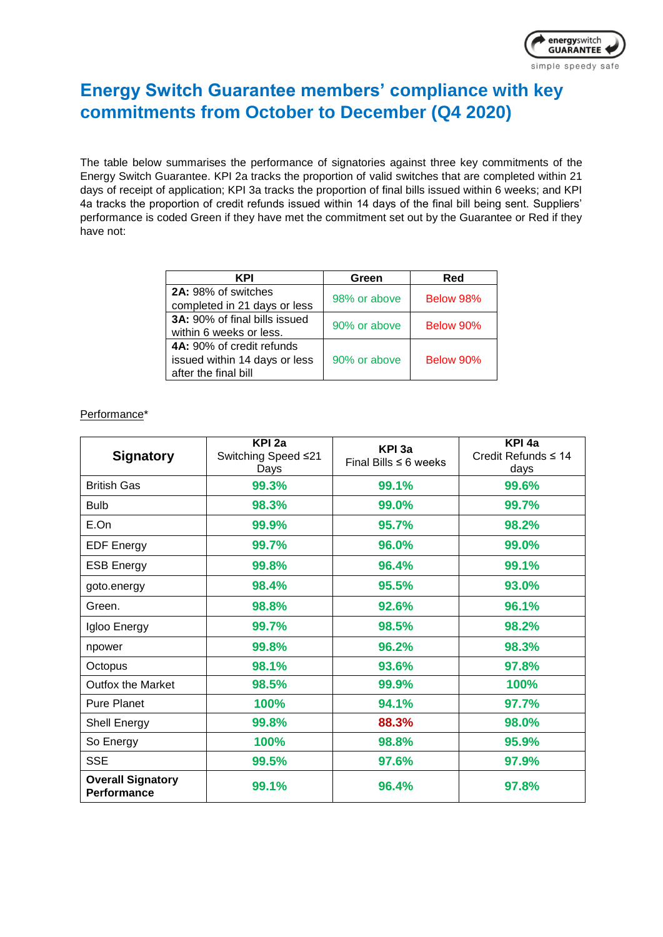

## **Energy Switch Guarantee members' compliance with key commitments from October to December (Q4 2020)**

The table below summarises the performance of signatories against three key commitments of the Energy Switch Guarantee. KPI 2a tracks the proportion of valid switches that are completed within 21 days of receipt of application; KPI 3a tracks the proportion of final bills issued within 6 weeks; and KPI 4a tracks the proportion of credit refunds issued within 14 days of the final bill being sent. Suppliers' performance is coded Green if they have met the commitment set out by the Guarantee or Red if they have not:

| KPI                                  | Green        | Red       |
|--------------------------------------|--------------|-----------|
| 2A: 98% of switches                  | 98% or above | Below 98% |
| completed in 21 days or less         |              |           |
| <b>3A:</b> 90% of final bills issued |              | Below 90% |
| within 6 weeks or less.              | 90% or above |           |
| 4A: 90% of credit refunds            |              |           |
| issued within 14 days or less        | 90% or above | Below 90% |
| after the final bill                 |              |           |

## Performance\*

| <b>Signatory</b>                               | KPI <sub>2a</sub><br>Switching Speed ≤21<br>Days | KPI 3a<br>Final Bills $\leq 6$ weeks | KPI <sub>4a</sub><br>Credit Refunds $\leq 14$<br>days |
|------------------------------------------------|--------------------------------------------------|--------------------------------------|-------------------------------------------------------|
| <b>British Gas</b>                             | 99.3%                                            | 99.1%                                | 99.6%                                                 |
| <b>Bulb</b>                                    | 98.3%                                            | 99.0%                                | 99.7%                                                 |
| E.On                                           | 99.9%                                            | 95.7%                                | 98.2%                                                 |
| <b>EDF Energy</b>                              | 99.7%                                            | 96.0%                                | 99.0%                                                 |
| <b>ESB Energy</b>                              | 99.8%                                            | 96.4%                                | 99.1%                                                 |
| goto.energy                                    | 98.4%                                            | 95.5%                                | 93.0%                                                 |
| Green.                                         | 98.8%                                            | 92.6%                                | 96.1%                                                 |
| Igloo Energy                                   | 99.7%                                            | 98.5%                                | 98.2%                                                 |
| npower                                         | 99.8%                                            | 96.2%                                | 98.3%                                                 |
| Octopus                                        | 98.1%                                            | 93.6%                                | 97.8%                                                 |
| <b>Outfox the Market</b>                       | 98.5%                                            | 99.9%                                | 100%                                                  |
| <b>Pure Planet</b>                             | 100%                                             | 94.1%                                | 97.7%                                                 |
| Shell Energy                                   | 99.8%                                            | 88.3%                                | 98.0%                                                 |
| So Energy                                      | 100%                                             | 98.8%                                | 95.9%                                                 |
| <b>SSE</b>                                     | 99.5%                                            | 97.6%                                | 97.9%                                                 |
| <b>Overall Signatory</b><br><b>Performance</b> | 99.1%                                            | 96.4%                                | 97.8%                                                 |